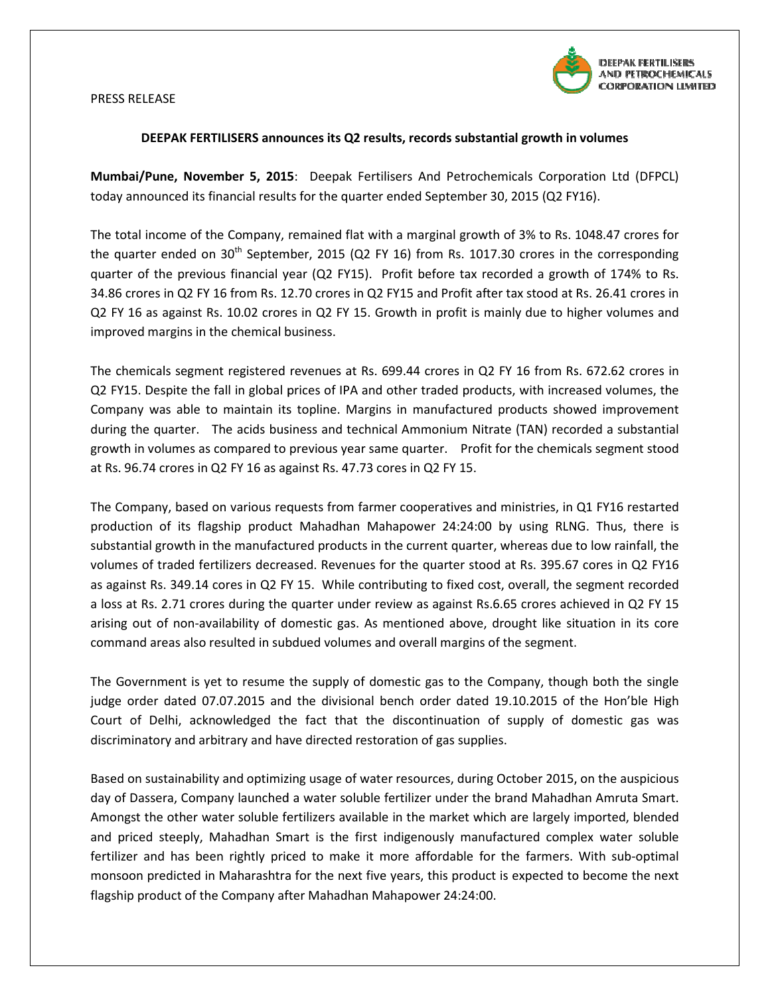

## PRESS RELEASE

## DEEPAK FERTILISERS announces its Q Q2 results, records substantial growth in volumes

Mumbai/Pune, November 5, 2015: Deepak Fertilisers And Petrochemicals Corporation Ltd (DFPCL) today announced its financial results for the quarter ended September 30, 2015 (Q2 FY16).

The total income of the Company, remained flat with a marginal growth of 3% to Rs. 1048.47 crores for the quarter ended on 30<sup>th</sup> September, 2015 (Q2 FY 16) from Rs. 1017.30 crores in the corresponding quarter of the previous financial year (Q2 FY15). Profit before tax recorded a growth of 174% to Rs. 34.86 crores in Q2 FY 16 from Rs. 12.70 crores in Q2 FY15 and Profit after tax stood at Rs. 26.41 crores in Q2 FY 16 as against Rs. 10.02 crores in Q2 FY 15. Growth in profit is mainly due to higher volumes and improved margins in the chemical business. improved margins in the chemical business.<br>The chemicals segment registered revenues at Rs. 699.44 crores in Q2 FY 16 from Rs. 672.62 crores in

Q2 FY15. Despite the fall in global prices of IPA and other traded products, with increased volumes, the Company was able to maintain its topline. Margins in manufactured products showed improvement<br>during the quarter. The acids business and technical Ammonium Nitrate (TAN) recorded a substantial during the quarter. The acids business and technical Ammonium Nitrate (TAN) recorded growth in volumes as compared to previous year same quarter. Profit for the chemicals segment stood at Rs. 96.74 crores in Q2 FY 16 as against Rs. 47.73 cores in Q2 FY 15.

The Company, based on various requests from farmer cooperatives and ministries, in Q1 FY16 restarted production of its flagship product Mahadhan Mahapower 24:24:00 by using RLNG. Thus, there is substantial growth in the manufactured products in the current quarter, whereas due to low rainfall, the volumes of traded fertilizers decreased. Revenues for the quarter stood at Rs. 395.67 cores in Q2 FY16 as against Rs. 349.14 cores in Q2 FY 15. While contributing to fixed cost, overall, the segment recorded<br>a loss at Rs. 2.71 crores during the quarter under review as against Rs.6.65 crores achieved in Q2 FY 15 a loss at Rs. 2.71 crores during the quarter under review as against Rs.6.65 crores achieved in arising out of non-availability of domestic gas. As mentioned above, drought like situation in its core command areas also resulted in subdued volumes and overall margins of the segment. SERS announces its Q2 results, records substantial growth in volumes<br>
ore 5, 2015: Deepak Fertilisers And Petrochemicals Corporation Ltd (DFPCL)<br>
molar results for the quarter ended September 30, 2015 (Q2 PY16).<br>
Company,

command areas also resulted in subdued volumes and overall margins of the segment.<br>The Government is yet to resume the supply of domestic gas to the Company, though both the single judge order dated 07.07.2015 and the divisional bench order dated 19.10.2015 of the Hon'ble High Court of Delhi, acknowledged the fact that the discontinuation of supply of domestic gas was discriminatory and arbitrary and have directed restoration of gas supplies.

Based on sustainability and optimizing usage of water resources, during October 2015, on the auspicious day of Dassera, Company launched a water soluble fertilizer under the brand Mahadhan Amruta Smart. Amongst the other water soluble fertilizers available in the market which are largely imported, blended Amongst the other water soluble fertilizers available in the market which are largely imported, blended<br>and priced steeply, Mahadhan Smart is the first indigenously manufactured complex water soluble fertilizer and has been rightly priced to make it more affordable for the farmers. With sub-optimal monsoon predicted in Maharashtra for the next five years, this product is expected to become the next flagship product of the Company after Mahadhan Mahapower 24:24:00.